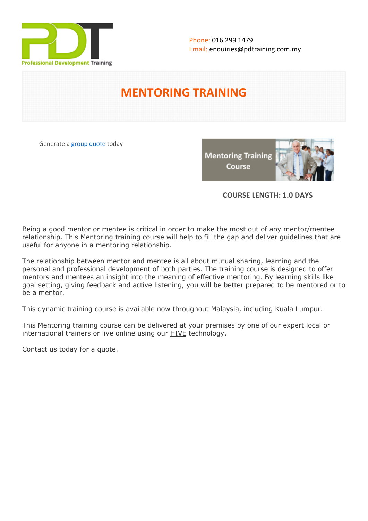

# **MENTORING TRAINING**

Generate a [group quote](https://pdtraining.com.my/inhouse-training-quote?cse=PDT036) today

**Mentoring Training** Course



## **COURSE LENGTH: 1.0 DAYS**

Being a good mentor or mentee is critical in order to make the most out of any mentor/mentee relationship. This Mentoring training course will help to fill the gap and deliver guidelines that are useful for anyone in a mentoring relationship.

The relationship between mentor and mentee is all about mutual sharing, learning and the personal and professional development of both parties. The training course is designed to offer mentors and mentees an insight into the meaning of effective mentoring. By learning skills like goal setting, giving feedback and active listening, you will be better prepared to be mentored or to be a mentor.

This dynamic training course is available now throughout Malaysia, including Kuala Lumpur.

This Mentoring training course can be delivered at your premises by one of our expert local or international trainers or live online using our HIVE technology.

Contact us today for a quote.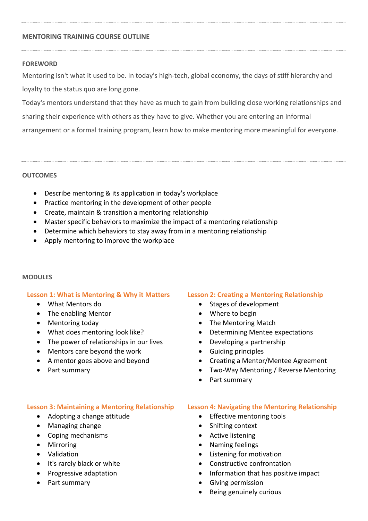### **MENTORING TRAINING COURSE OUTLINE**

#### **FOREWORD**

Mentoring isn't what it used to be. In today's high-tech, global economy, the days of stiff hierarchy and loyalty to the status quo are long gone.

Today's mentors understand that they have as much to gain from building close working relationships and sharing their experience with others as they have to give. Whether you are entering an informal arrangement or a formal training program, learn how to make mentoring more meaningful for everyone.

#### **OUTCOMES**

- Describe mentoring & its application in today's workplace
- Practice mentoring in the development of other people
- Create, maintain & transition a mentoring relationship
- Master specific behaviors to maximize the impact of a mentoring relationship
- Determine which behaviors to stay away from in a mentoring relationship
- Apply mentoring to improve the workplace

#### **MODULES**

#### **Lesson 1: What is Mentoring & Why it Matters**

- What Mentors do
- The enabling Mentor
- Mentoring today
- What does mentoring look like?
- The power of relationships in our lives
- Mentors care beyond the work
- A mentor goes above and beyond
- Part summary

### **Lesson 3: Maintaining a Mentoring Relationship**

- Adopting a change attitude
- Managing change
- Coping mechanisms
- Mirroring
- Validation
- It's rarely black or white
- Progressive adaptation
- Part summary

### **Lesson 2: Creating a Mentoring Relationship**

- Stages of development
- Where to begin
- The Mentoring Match
- Determining Mentee expectations
- Developing a partnership
- Guiding principles
- Creating a Mentor/Mentee Agreement
- Two-Way Mentoring / Reverse Mentoring
- Part summary

### **Lesson 4: Navigating the Mentoring Relationship**

- Effective mentoring tools
- Shifting context
- Active listening
- Naming feelings
- Listening for motivation
- Constructive confrontation
- Information that has positive impact
- Giving permission
- Being genuinely curious